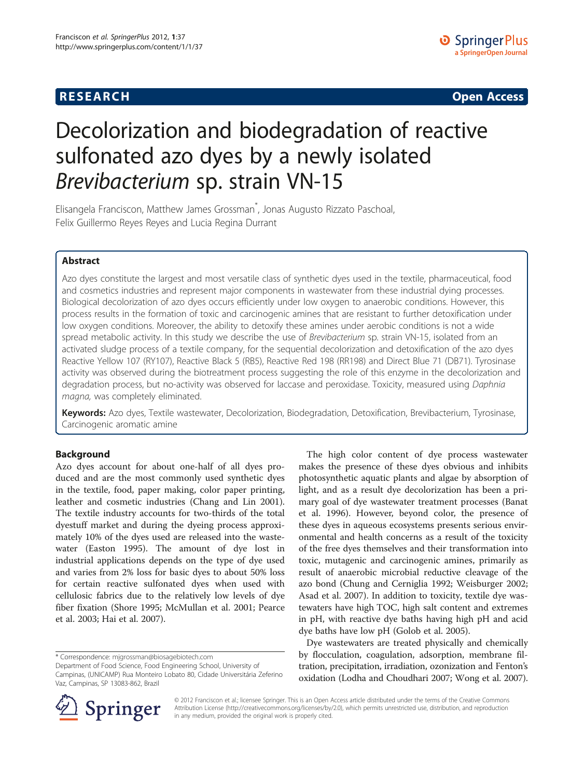## **RESEARCH RESEARCH CONSUMING ACCESS**

# Decolorization and biodegradation of reactive sulfonated azo dyes by a newly isolated Brevibacterium sp. strain VN-15

Elisangela Franciscon, Matthew James Grossman\* , Jonas Augusto Rizzato Paschoal, Felix Guillermo Reyes Reyes and Lucia Regina Durrant

## Abstract

Azo dyes constitute the largest and most versatile class of synthetic dyes used in the textile, pharmaceutical, food and cosmetics industries and represent major components in wastewater from these industrial dying processes. Biological decolorization of azo dyes occurs efficiently under low oxygen to anaerobic conditions. However, this process results in the formation of toxic and carcinogenic amines that are resistant to further detoxification under low oxygen conditions. Moreover, the ability to detoxify these amines under aerobic conditions is not a wide spread metabolic activity. In this study we describe the use of Brevibacterium sp. strain VN-15, isolated from an activated sludge process of a textile company, for the sequential decolorization and detoxification of the azo dyes Reactive Yellow 107 (RY107), Reactive Black 5 (RB5), Reactive Red 198 (RR198) and Direct Blue 71 (DB71). Tyrosinase activity was observed during the biotreatment process suggesting the role of this enzyme in the decolorization and degradation process, but no-activity was observed for laccase and peroxidase. Toxicity, measured using Daphnia magna, was completely eliminated.

Keywords: Azo dyes, Textile wastewater, Decolorization, Biodegradation, Detoxification, Brevibacterium, Tyrosinase, Carcinogenic aromatic amine

## Background

Azo dyes account for about one-half of all dyes produced and are the most commonly used synthetic dyes in the textile, food, paper making, color paper printing, leather and cosmetic industries (Chang and Lin [2001](#page-7-0)). The textile industry accounts for two-thirds of the total dyestuff market and during the dyeing process approximately 10% of the dyes used are released into the wastewater (Easton [1995](#page-8-0)). The amount of dye lost in industrial applications depends on the type of dye used and varies from 2% loss for basic dyes to about 50% loss for certain reactive sulfonated dyes when used with cellulosic fabrics due to the relatively low levels of dye fiber fixation (Shore [1995;](#page-9-0) McMullan et al. [2001](#page-8-0); Pearce et al. [2003;](#page-8-0) Hai et al. [2007\)](#page-8-0).

\* Correspondence: [mjgrossman@biosagebiotech.com](mailto:mjgrossman@biosagebiotech.com)

Department of Food Science, Food Engineering School, University of Campinas, (UNICAMP) Rua Monteiro Lobato 80, Cidade Universitária Zeferino Vaz, Campinas, SP 13083-862, Brazil



Dye wastewaters are treated physically and chemically by flocculation, coagulation, adsorption, membrane filtration, precipitation, irradiation, ozonization and Fenton's oxidation (Lodha and Choudhari [2007](#page-8-0); Wong et al. [2007](#page-9-0)).



© 2012 Franciscon et al.; licensee Springer. This is an Open Access article distributed under the terms of the Creative Commons Attribution License [\(http://creativecommons.org/licenses/by/2.0\)](http://creativecommons.org/licenses/by/2.0), which permits unrestricted use, distribution, and reproduction in any medium, provided the original work is properly cited.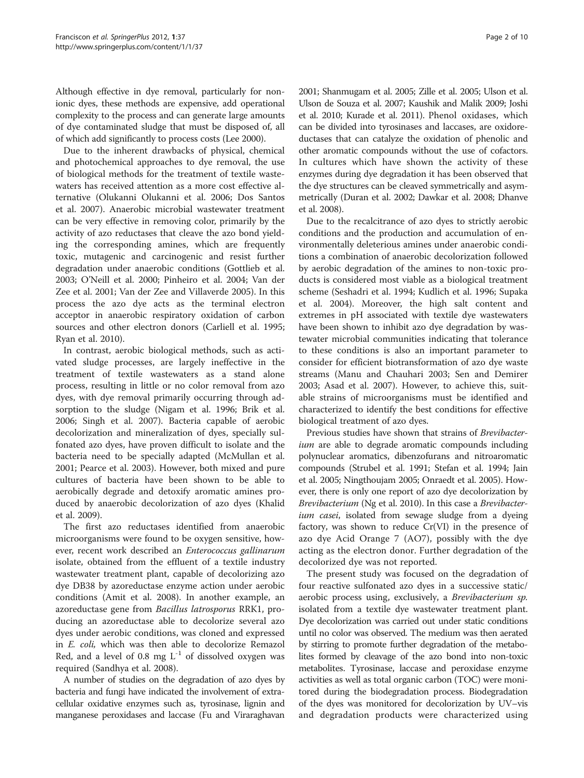Although effective in dye removal, particularly for nonionic dyes, these methods are expensive, add operational complexity to the process and can generate large amounts of dye contaminated sludge that must be disposed of, all of which add significantly to process costs (Lee [2000\)](#page-8-0).

Due to the inherent drawbacks of physical, chemical and photochemical approaches to dye removal, the use of biological methods for the treatment of textile wastewaters has received attention as a more cost effective alternative (Olukanni Olukanni et al. [2006;](#page-8-0) Dos Santos et al. [2007\)](#page-8-0). Anaerobic microbial wastewater treatment can be very effective in removing color, primarily by the activity of azo reductases that cleave the azo bond yielding the corresponding amines, which are frequently toxic, mutagenic and carcinogenic and resist further degradation under anaerobic conditions (Gottlieb et al. [2003](#page-8-0); O'Neill et al. [2000;](#page-8-0) Pinheiro et al. [2004;](#page-8-0) Van der Zee et al. [2001;](#page-9-0) Van der Zee and Villaverde [2005\)](#page-9-0). In this process the azo dye acts as the terminal electron acceptor in anaerobic respiratory oxidation of carbon sources and other electron donors (Carliell et al. [1995](#page-7-0); Ryan et al. [2010\)](#page-8-0).

In contrast, aerobic biological methods, such as activated sludge processes, are largely ineffective in the treatment of textile wastewaters as a stand alone process, resulting in little or no color removal from azo dyes, with dye removal primarily occurring through adsorption to the sludge (Nigam et al. [1996;](#page-8-0) Brik et al. [2006](#page-7-0); Singh et al. [2007](#page-9-0)). Bacteria capable of aerobic decolorization and mineralization of dyes, specially sulfonated azo dyes, have proven difficult to isolate and the bacteria need to be specially adapted (McMullan et al. [2001](#page-8-0); Pearce et al. [2003](#page-8-0)). However, both mixed and pure cultures of bacteria have been shown to be able to aerobically degrade and detoxify aromatic amines produced by anaerobic decolorization of azo dyes (Khalid et al. [2009\)](#page-8-0).

The first azo reductases identified from anaerobic microorganisms were found to be oxygen sensitive, however, recent work described an Enterococcus gallinarum isolate, obtained from the effluent of a textile industry wastewater treatment plant, capable of decolorizing azo dye DB38 by azoreductase enzyme action under aerobic conditions (Amit et al. [2008](#page-7-0)). In another example, an azoreductase gene from Bacillus latrosporus RRK1, producing an azoreductase able to decolorize several azo dyes under aerobic conditions, was cloned and expressed in E. coli, which was then able to decolorize Remazol Red, and a level of 0.8 mg  $L^{-1}$  of dissolved oxygen was required (Sandhya et al. [2008\)](#page-8-0).

A number of studies on the degradation of azo dyes by bacteria and fungi have indicated the involvement of extracellular oxidative enzymes such as, tyrosinase, lignin and manganese peroxidases and laccase (Fu and Viraraghavan [2001;](#page-8-0) Shanmugam et al. [2005;](#page-9-0) Zille et al. [2005](#page-9-0); Ulson et al. Ulson de Souza et al. [2007;](#page-9-0) Kaushik and Malik [2009](#page-8-0); Joshi et al. [2010](#page-8-0); Kurade et al. [2011](#page-8-0)). Phenol oxidases, which can be divided into tyrosinases and laccases, are oxidoreductases that can catalyze the oxidation of phenolic and other aromatic compounds without the use of cofactors. In cultures which have shown the activity of these enzymes during dye degradation it has been observed that the dye structures can be cleaved symmetrically and asymmetrically (Duran et al. [2002](#page-8-0); Dawkar et al. [2008;](#page-8-0) Dhanve et al. [2008](#page-8-0)).

Due to the recalcitrance of azo dyes to strictly aerobic conditions and the production and accumulation of environmentally deleterious amines under anaerobic conditions a combination of anaerobic decolorization followed by aerobic degradation of the amines to non-toxic products is considered most viable as a biological treatment scheme (Seshadri et al. [1994](#page-9-0); Kudlich et al. [1996](#page-8-0); Supaka et al. [2004](#page-9-0)). Moreover, the high salt content and extremes in pH associated with textile dye wastewaters have been shown to inhibit azo dye degradation by wastewater microbial communities indicating that tolerance to these conditions is also an important parameter to consider for efficient biotransformation of azo dye waste streams (Manu and Chauhari [2003;](#page-8-0) Sen and Demirer [2003](#page-9-0); Asad et al. [2007](#page-7-0)). However, to achieve this, suitable strains of microorganisms must be identified and characterized to identify the best conditions for effective biological treatment of azo dyes.

Previous studies have shown that strains of Brevibacterium are able to degrade aromatic compounds including polynuclear aromatics, dibenzofurans and nitroaromatic compounds (Strubel et al. [1991;](#page-9-0) Stefan et al. [1994;](#page-9-0) Jain et al. [2005;](#page-8-0) Ningthoujam [2005;](#page-8-0) Onraedt et al. [2005\)](#page-8-0). However, there is only one report of azo dye decolorization by Brevibacterium (Ng et al. [2010](#page-8-0)). In this case a Brevibacterium casei, isolated from sewage sludge from a dyeing factory, was shown to reduce Cr(VI) in the presence of azo dye Acid Orange 7 (AO7), possibly with the dye acting as the electron donor. Further degradation of the decolorized dye was not reported.

The present study was focused on the degradation of four reactive sulfonated azo dyes in a successive static/ aerobic process using, exclusively, a Brevibacterium sp. isolated from a textile dye wastewater treatment plant. Dye decolorization was carried out under static conditions until no color was observed. The medium was then aerated by stirring to promote further degradation of the metabolites formed by cleavage of the azo bond into non-toxic metabolites. Tyrosinase, laccase and peroxidase enzyme activities as well as total organic carbon (TOC) were monitored during the biodegradation process. Biodegradation of the dyes was monitored for decolorization by UV–vis and degradation products were characterized using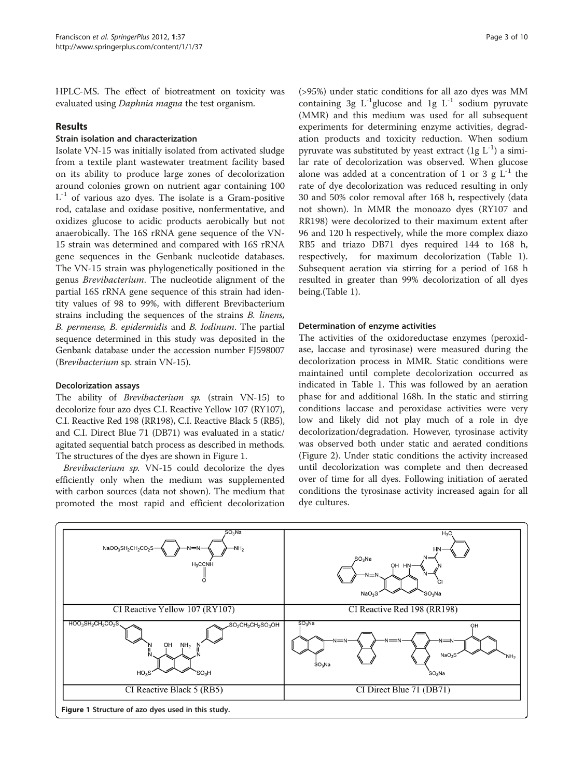HPLC-MS. The effect of biotreatment on toxicity was evaluated using Daphnia magna the test organism.

#### **Results**

## Strain isolation and characterization

Isolate VN-15 was initially isolated from activated sludge from a textile plant wastewater treatment facility based on its ability to produce large zones of decolorization around colonies grown on nutrient agar containing 100  $L^{-1}$  of various azo dyes. The isolate is a Gram-positive rod, catalase and oxidase positive, nonfermentative, and oxidizes glucose to acidic products aerobically but not anaerobically. The 16S rRNA gene sequence of the VN-15 strain was determined and compared with 16S rRNA gene sequences in the Genbank nucleotide databases. The VN-15 strain was phylogenetically positioned in the genus Brevibacterium. The nucleotide alignment of the partial 16S rRNA gene sequence of this strain had identity values of 98 to 99%, with different Brevibacterium strains including the sequences of the strains B. linens, B. permense, B. epidermidis and B. Iodinum. The partial sequence determined in this study was deposited in the Genbank database under the accession number FJ598007 (Brevibacterium sp. strain VN-15).

#### Decolorization assays

The ability of Brevibacterium sp. (strain VN-15) to decolorize four azo dyes C.I. Reactive Yellow 107 (RY107), C.I. Reactive Red 198 (RR198), C.I. Reactive Black 5 (RB5), and C.I. Direct Blue 71 (DB71) was evaluated in a static/ agitated sequential batch process as described in methods. The structures of the dyes are shown in Figure 1.

Brevibacterium sp. VN-15 could decolorize the dyes efficiently only when the medium was supplemented with carbon sources (data not shown). The medium that promoted the most rapid and efficient decolorization

(>95%) under static conditions for all azo dyes was MM containing 3g  $L^{-1}$ glucose and 1g  $L^{-1}$  sodium pyruvate (MMR) and this medium was used for all subsequent experiments for determining enzyme activities, degradation products and toxicity reduction. When sodium pyruvate was substituted by yeast extract  $(1g L^{-1})$  a similar rate of decolorization was observed. When glucose alone was added at a concentration of 1 or 3  $g L^{-1}$  the rate of dye decolorization was reduced resulting in only 30 and 50% color removal after 168 h, respectively (data not shown). In MMR the monoazo dyes (RY107 and RR198) were decolorized to their maximum extent after 96 and 120 h respectively, while the more complex diazo RB5 and triazo DB71 dyes required 144 to 168 h, respectively, for maximum decolorization (Table [1](#page-3-0)). Subsequent aeration via stirring for a period of 168 h resulted in greater than 99% decolorization of all dyes being.(Table [1](#page-3-0)).

## Determination of enzyme activities

The activities of the oxidoreductase enzymes (peroxidase, laccase and tyrosinase) were measured during the decolorization process in MMR. Static conditions were maintained until complete decolorization occurred as indicated in Table [1](#page-3-0). This was followed by an aeration phase for and additional 168h. In the static and stirring conditions laccase and peroxidase activities were very low and likely did not play much of a role in dye decolorization/degradation. However, tyrosinase activity was observed both under static and aerated conditions (Figure [2\)](#page-3-0). Under static conditions the activity increased until decolorization was complete and then decreased over of time for all dyes. Following initiation of aerated conditions the tyrosinase activity increased again for all dye cultures.

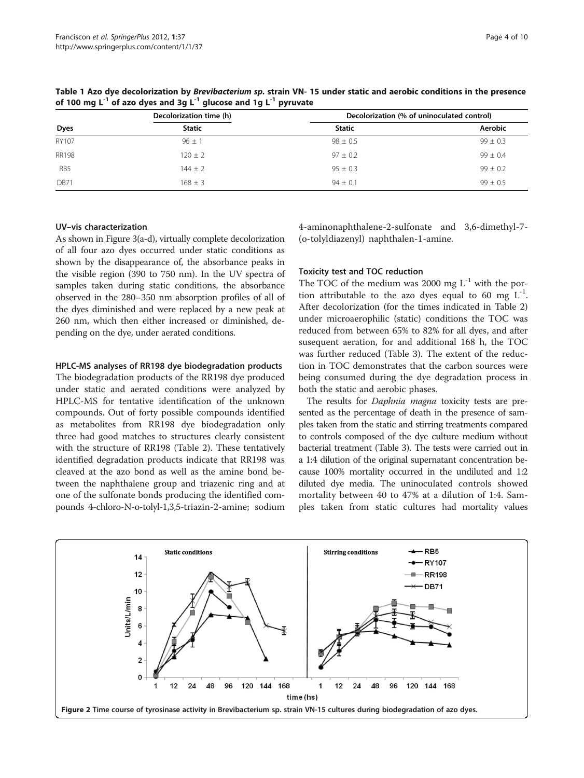|              | Decolorization time (h) | Decolorization (% of uninoculated control) |              |  |
|--------------|-------------------------|--------------------------------------------|--------------|--|
| Dyes         | <b>Static</b>           | <b>Static</b>                              | Aerobic      |  |
| RY107        | $96 \pm 1$              | $98 \pm 0.5$                               | $99 \pm 0.3$ |  |
| <b>RR198</b> | $120 \pm 2$             | $97 \pm 0.2$                               | $99 + 0.4$   |  |
| RB5          | $144 + 2$               | $95 + 0.3$                                 | $99 + 0.2$   |  |
| <b>DB71</b>  | $168 + 3$               | $94 + 0.1$                                 | $99 + 0.5$   |  |

<span id="page-3-0"></span>Table 1 Azo dye decolorization by Brevibacterium sp. strain VN- 15 under static and aerobic conditions in the presence of 100 mg  $L^{-1}$  of azo dyes and 3g  $L^{-1}$  glucose and 1g  $L^{-1}$  pyruvate

#### UV–vis characterization

As shown in Figure [3\(](#page-4-0)a-d), virtually complete decolorization of all four azo dyes occurred under static conditions as shown by the disappearance of, the absorbance peaks in the visible region (390 to 750 nm). In the UV spectra of samples taken during static conditions, the absorbance observed in the 280–350 nm absorption profiles of all of the dyes diminished and were replaced by a new peak at 260 nm, which then either increased or diminished, depending on the dye, under aerated conditions.

#### HPLC-MS analyses of RR198 dye biodegradation products

The biodegradation products of the RR198 dye produced under static and aerated conditions were analyzed by HPLC-MS for tentative identification of the unknown compounds. Out of forty possible compounds identified as metabolites from RR198 dye biodegradation only three had good matches to structures clearly consistent with the structure of RR198 (Table [2](#page-4-0)). These tentatively identified degradation products indicate that RR198 was cleaved at the azo bond as well as the amine bond between the naphthalene group and triazenic ring and at one of the sulfonate bonds producing the identified compounds 4-chloro-N-o-tolyl-1,3,5-triazin-2-amine; sodium 4-aminonaphthalene-2-sulfonate and 3,6-dimethyl-7- (o-tolyldiazenyl) naphthalen-1-amine.

#### Toxicity test and TOC reduction

The TOC of the medium was 2000 mg  $L^{-1}$  with the portion attributable to the azo dyes equal to 60 mg  $L^{-1}$ . After decolorization (for the times indicated in Table [2](#page-4-0)) under microaerophilic (static) conditions the TOC was reduced from between 65% to 82% for all dyes, and after susequent aeration, for and additional 168 h, the TOC was further reduced (Table [3\)](#page-5-0). The extent of the reduction in TOC demonstrates that the carbon sources were being consumed during the dye degradation process in both the static and aerobic phases.

The results for *Daphnia magna* toxicity tests are presented as the percentage of death in the presence of samples taken from the static and stirring treatments compared to controls composed of the dye culture medium without bacterial treatment (Table [3\)](#page-5-0). The tests were carried out in a 1:4 dilution of the original supernatant concentration because 100% mortality occurred in the undiluted and 1:2 diluted dye media. The uninoculated controls showed mortality between 40 to 47% at a dilution of 1:4. Samples taken from static cultures had mortality values

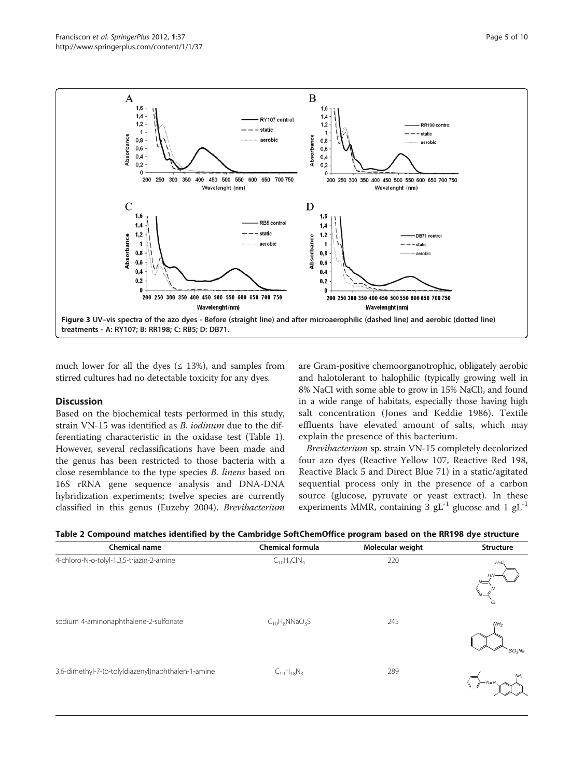<span id="page-4-0"></span>

much lower for all the dyes ( $\leq$  13%), and samples from stirred cultures had no detectable toxicity for any dyes.

#### **Discussion**

Based on the biochemical tests performed in this study, strain VN-15 was identified as B. iodinum due to the differentiating characteristic in the oxidase test (Table [1](#page-3-0)). However, several reclassifications have been made and the genus has been restricted to those bacteria with a close resemblance to the type species B. linens based on 16S rRNA gene sequence analysis and DNA-DNA hybridization experiments; twelve species are currently classified in this genus (Euzeby [2004\)](#page-8-0). Brevibacterium

are Gram-positive chemoorganotrophic, obligately aerobic and halotolerant to halophilic (typically growing well in 8% NaCl with some able to grow in 15% NaCl), and found in a wide range of habitats, especially those having high salt concentration (Jones and Keddie [1986\)](#page-8-0). Textile effluents have elevated amount of salts, which may explain the presence of this bacterium.

Brevibacterium sp. strain VN-15 completely decolorized four azo dyes (Reactive Yellow 107, Reactive Red 198, Reactive Black 5 and Direct Blue 71) in a static/agitated sequential process only in the presence of a carbon source (glucose, pyruvate or yeast extract). In these experiments MMR, containing 3  $gL^{-1}$  glucose and 1  $gL^{-1}$ 

| <b>Chemical name</b>                               | <b>Chemical formula</b> | Molecular weight | Structure                                  |
|----------------------------------------------------|-------------------------|------------------|--------------------------------------------|
| 4-chloro-N-o-tolyl-1,3,5-triazin-2-amine           | $C_{10}H_9CH_4$         | 220              | $H_3C$<br>HN <sup>-</sup><br>C1            |
| sodium 4-aminonaphthalene-2-sulfonate              | $C_{10}H_8NNaO_3S$      | 245              | NH <sub>2</sub><br>$^s$ SO <sub>3</sub> Na |
| 3,6-dimethyl-7-(o-tolyldiazenyl)naphthalen-1-amine | $C_{19}H_{18}N_3$       | 289              | NH <sub>2</sub><br>$-N=N$                  |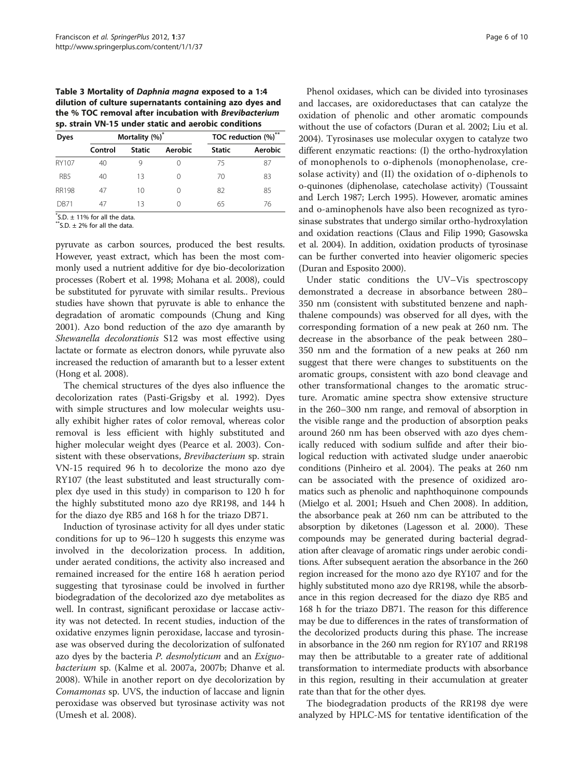<span id="page-5-0"></span>Table 3 Mortality of Daphnia magna exposed to a 1:4 dilution of culture supernatants containing azo dyes and the % TOC removal after incubation with Brevibacterium sp. strain VN-15 under static and aerobic conditions

| <b>Dyes</b>     | Mortality (%) <sup>*</sup> |               | TOC reduction (%)** |               |         |
|-----------------|----------------------------|---------------|---------------------|---------------|---------|
|                 | Control                    | <b>Static</b> | Aerobic             | <b>Static</b> | Aerobic |
| RY107           | 40                         | 9             | $\left( \right)$    | 75            | 87      |
| R <sub>B5</sub> | 40                         | 13            | $\left( \right)$    | 70            | 83      |
| <b>RR198</b>    | 47                         | 10            | $\left( \right)$    | 82            | 85      |
| DR71            | 47                         | 13            | $\left( \right)$    | 65            | 76      |

 $\check{}$ S.D.  $\pm$  11% for all the data.

 $**$ S.D.  $\pm$  2% for all the data.

pyruvate as carbon sources, produced the best results. However, yeast extract, which has been the most commonly used a nutrient additive for dye bio-decolorization processes (Robert et al. [1998](#page-8-0); Mohana et al. [2008\)](#page-8-0), could be substituted for pyruvate with similar results.. Previous studies have shown that pyruvate is able to enhance the degradation of aromatic compounds (Chung and King [2001\)](#page-7-0). Azo bond reduction of the azo dye amaranth by Shewanella decolorationis S12 was most effective using lactate or formate as electron donors, while pyruvate also increased the reduction of amaranth but to a lesser extent (Hong et al. [2008\)](#page-8-0).

The chemical structures of the dyes also influence the decolorization rates (Pasti-Grigsby et al. [1992](#page-8-0)). Dyes with simple structures and low molecular weights usually exhibit higher rates of color removal, whereas color removal is less efficient with highly substituted and higher molecular weight dyes (Pearce et al. [2003\)](#page-8-0). Consistent with these observations, Brevibacterium sp. strain VN-15 required 96 h to decolorize the mono azo dye RY107 (the least substituted and least structurally complex dye used in this study) in comparison to 120 h for the highly substituted mono azo dye RR198, and 144 h for the diazo dye RB5 and 168 h for the triazo DB71.

Induction of tyrosinase activity for all dyes under static conditions for up to 96–120 h suggests this enzyme was involved in the decolorization process. In addition, under aerated conditions, the activity also increased and remained increased for the entire 168 h aeration period suggesting that tyrosinase could be involved in further biodegradation of the decolorized azo dye metabolites as well. In contrast, significant peroxidase or laccase activity was not detected. In recent studies, induction of the oxidative enzymes lignin peroxidase, laccase and tyrosinase was observed during the decolorization of sulfonated azo dyes by the bacteria P. desmolyticum and an Exiguobacterium sp. (Kalme et al. [2007a](#page-8-0), [2007b](#page-8-0); Dhanve et al. [2008](#page-8-0)). While in another report on dye decolorization by Comamonas sp. UVS, the induction of laccase and lignin peroxidase was observed but tyrosinase activity was not (Umesh et al. [2008\)](#page-9-0).

Phenol oxidases, which can be divided into tyrosinases and laccases, are oxidoreductases that can catalyze the oxidation of phenolic and other aromatic compounds without the use of cofactors (Duran et al. [2002](#page-8-0); Liu et al. [2004](#page-8-0)). Tyrosinases use molecular oxygen to catalyze two different enzymatic reactions: (I) the ortho-hydroxylation of monophenols to o-diphenols (monophenolase, cresolase activity) and (II) the oxidation of o-diphenols to o-quinones (diphenolase, catecholase activity) (Toussaint and Lerch [1987](#page-9-0); Lerch [1995](#page-8-0)). However, aromatic amines and o-aminophenols have also been recognized as tyrosinase substrates that undergo similar ortho-hydroxylation and oxidation reactions (Claus and Filip [1990;](#page-8-0) Gasowska et al. [2004\)](#page-8-0). In addition, oxidation products of tyrosinase can be further converted into heavier oligomeric species (Duran and Esposito [2000\)](#page-8-0).

Under static conditions the UV–Vis spectroscopy demonstrated a decrease in absorbance between 280– 350 nm (consistent with substituted benzene and naphthalene compounds) was observed for all dyes, with the corresponding formation of a new peak at 260 nm. The decrease in the absorbance of the peak between 280– 350 nm and the formation of a new peaks at 260 nm suggest that there were changes to substituents on the aromatic groups, consistent with azo bond cleavage and other transformational changes to the aromatic structure. Aromatic amine spectra show extensive structure in the 260–300 nm range, and removal of absorption in the visible range and the production of absorption peaks around 260 nm has been observed with azo dyes chemically reduced with sodium sulfide and after their biological reduction with activated sludge under anaerobic conditions (Pinheiro et al. [2004\)](#page-8-0). The peaks at 260 nm can be associated with the presence of oxidized aromatics such as phenolic and naphthoquinone compounds (Mielgo et al. [2001;](#page-8-0) Hsueh and Chen [2008](#page-7-0)). In addition, the absorbance peak at 260 nm can be attributed to the absorption by diketones (Lagesson et al. [2000\)](#page-8-0). These compounds may be generated during bacterial degradation after cleavage of aromatic rings under aerobic conditions. After subsequent aeration the absorbance in the 260 region increased for the mono azo dye RY107 and for the highly substituted mono azo dye RR198, while the absorbance in this region decreased for the diazo dye RB5 and 168 h for the triazo DB71. The reason for this difference may be due to differences in the rates of transformation of the decolorized products during this phase. The increase in absorbance in the 260 nm region for RY107 and RR198 may then be attributable to a greater rate of additional transformation to intermediate products with absorbance in this region, resulting in their accumulation at greater rate than that for the other dyes.

The biodegradation products of the RR198 dye were analyzed by HPLC-MS for tentative identification of the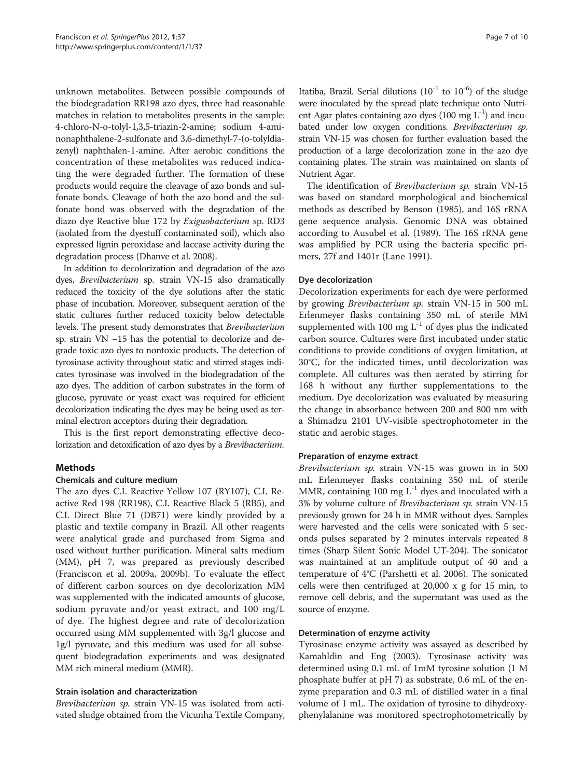unknown metabolites. Between possible compounds of the biodegradation RR198 azo dyes, three had reasonable matches in relation to metabolites presents in the sample: 4-chloro-N-o-tolyl-1,3,5-triazin-2-amine; sodium 4-aminonaphthalene-2-sulfonate and 3,6-dimethyl-7-(o-tolyldiazenyl) naphthalen-1-amine. After aerobic conditions the concentration of these metabolites was reduced indicating the were degraded further. The formation of these products would require the cleavage of azo bonds and sulfonate bonds. Cleavage of both the azo bond and the sulfonate bond was observed with the degradation of the diazo dye Reactive blue 172 by Exiguobacterium sp. RD3 (isolated from the dyestuff contaminated soil), which also expressed lignin peroxidase and laccase activity during the degradation process (Dhanve et al. [2008](#page-8-0)).

In addition to decolorization and degradation of the azo dyes, Brevibacterium sp. strain VN-15 also dramatically reduced the toxicity of the dye solutions after the static phase of incubation. Moreover, subsequent aeration of the static cultures further reduced toxicity below detectable levels. The present study demonstrates that Brevibacterium sp. strain VN −15 has the potential to decolorize and degrade toxic azo dyes to nontoxic products. The detection of tyrosinase activity throughout static and stirred stages indicates tyrosinase was involved in the biodegradation of the azo dyes. The addition of carbon substrates in the form of glucose, pyruvate or yeast exact was required for efficient decolorization indicating the dyes may be being used as terminal electron acceptors during their degradation.

This is the first report demonstrating effective decolorization and detoxification of azo dyes by a Brevibacterium.

## **Methods**

#### Chemicals and culture medium

The azo dyes C.I. Reactive Yellow 107 (RY107), C.I. Reactive Red 198 (RR198), C.I. Reactive Black 5 (RB5), and C.I. Direct Blue 71 (DB71) were kindly provided by a plastic and textile company in Brazil. All other reagents were analytical grade and purchased from Sigma and used without further purification. Mineral salts medium (MM), pH 7, was prepared as previously described (Franciscon et al. [2009a](#page-8-0), [2009b\)](#page-8-0). To evaluate the effect of different carbon sources on dye decolorization MM was supplemented with the indicated amounts of glucose, sodium pyruvate and/or yeast extract, and 100 mg/L of dye. The highest degree and rate of decolorization occurred using MM supplemented with 3g/l glucose and 1g/l pyruvate, and this medium was used for all subsequent biodegradation experiments and was designated MM rich mineral medium (MMR).

## Strain isolation and characterization

Brevibacterium sp. strain VN-15 was isolated from activated sludge obtained from the Vicunha Textile Company, Itatiba, Brazil. Serial dilutions  $(10^{-1}$  to  $10^{-6})$  of the sludge were inoculated by the spread plate technique onto Nutrient Agar plates containing azo dyes  $(100 \text{ mg } L^{-1})$  and incubated under low oxygen conditions. Brevibacterium sp. strain VN-15 was chosen for further evaluation based the production of a large decolorization zone in the azo dye containing plates. The strain was maintained on slants of Nutrient Agar.

The identification of Brevibacterium sp. strain VN-15 was based on standard morphological and biochemical methods as described by Benson [\(1985\)](#page-7-0), and 16S rRNA gene sequence analysis. Genomic DNA was obtained according to Ausubel et al. ([1989](#page-7-0)). The 16S rRNA gene was amplified by PCR using the bacteria specific primers, 27f and 1401r (Lane [1991\)](#page-8-0).

#### Dye decolorization

Decolorization experiments for each dye were performed by growing Brevibacterium sp. strain VN-15 in 500 mL Erlenmeyer flasks containing 350 mL of sterile MM supplemented with 100 mg  $L^{-1}$  of dyes plus the indicated carbon source. Cultures were first incubated under static conditions to provide conditions of oxygen limitation, at 30°C, for the indicated times, until decolorization was complete. All cultures was then aerated by stirring for 168 h without any further supplementations to the medium. Dye decolorization was evaluated by measuring the change in absorbance between 200 and 800 nm with a Shimadzu 2101 UV-visible spectrophotometer in the static and aerobic stages.

## Preparation of enzyme extract

Brevibacterium sp. strain VN-15 was grown in in 500 mL Erlenmeyer flasks containing 350 mL of sterile MMR, containing 100 mg  $L^{-1}$  dyes and inoculated with a 3% by volume culture of Brevibacterium sp. strain VN-15 previously grown for 24 h in MMR without dyes. Samples were harvested and the cells were sonicated with 5 seconds pulses separated by 2 minutes intervals repeated 8 times (Sharp Silent Sonic Model UT-204). The sonicator was maintained at an amplitude output of 40 and a temperature of 4°C (Parshetti et al. [2006](#page-8-0)). The sonicated cells were then centrifuged at 20,000 x g for 15 min, to remove cell debris, and the supernatant was used as the source of enzyme.

## Determination of enzyme activity

Tyrosinase enzyme activity was assayed as described by Kamahldin and Eng [\(2003\)](#page-8-0). Tyrosinase activity was determined using 0.1 mL of 1mM tyrosine solution (1 M phosphate buffer at pH 7) as substrate, 0.6 mL of the enzyme preparation and 0.3 mL of distilled water in a final volume of 1 mL. The oxidation of tyrosine to dihydroxyphenylalanine was monitored spectrophotometrically by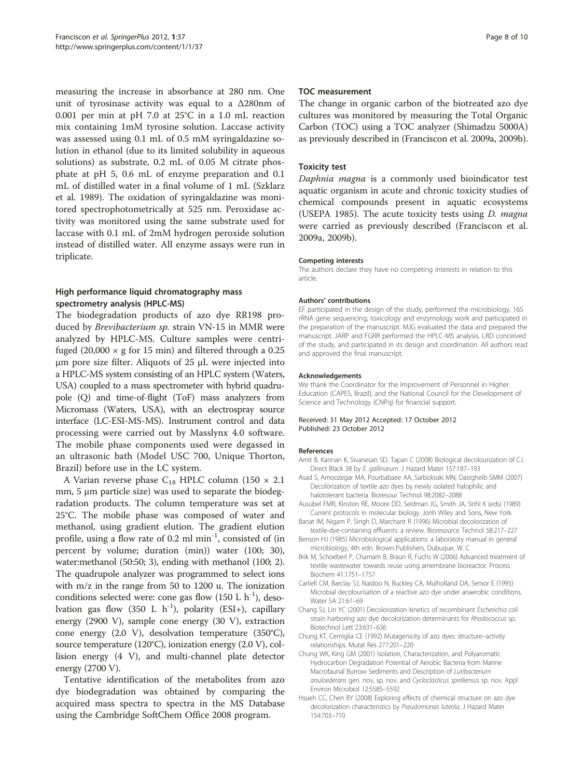<span id="page-7-0"></span>measuring the increase in absorbance at 280 nm. One unit of tyrosinase activity was equal to a Δ280nm of 0.001 per min at pH 7.0 at 25°C in a 1.0 mL reaction mix containing 1mM tyrosine solution. Laccase activity was assessed using 0.1 mL of 0.5 mM syringaldazine solution in ethanol (due to its limited solubility in aqueous solutions) as substrate, 0.2 mL of 0.05 M citrate phosphate at pH 5, 0.6 mL of enzyme preparation and 0.1 mL of distilled water in a final volume of 1 mL (Szklarz et al. [1989\)](#page-9-0). The oxidation of syringaldazine was monitored spectrophotometrically at 525 nm. Peroxidase activity was monitored using the same substrate used for laccase with 0.1 mL of 2mM hydrogen peroxide solution instead of distilled water. All enzyme assays were run in triplicate.

## High performance liquid chromatography mass spectrometry analysis (HPLC-MS)

The biodegradation products of azo dye RR198 produced by Brevibacterium sp. strain VN-15 in MMR were analyzed by HPLC-MS. Culture samples were centrifuged (20,000  $\times$  g for 15 min) and filtered through a 0.25 μm pore size filter. Aliquots of 25 μL were injected into a HPLC-MS system consisting of an HPLC system (Waters, USA) coupled to a mass spectrometer with hybrid quadrupole (Q) and time-of-flight (ToF) mass analyzers from Micromass (Waters, USA), with an electrospray source interface (LC-ESI-MS-MS). Instrument control and data processing were carried out by Masslynx 4.0 software. The mobile phase components used were degassed in an ultrasonic bath (Model USC 700, Unique Thorton, Brazil) before use in the LC system.

A Varian reverse phase  $C_{18}$  HPLC column (150  $\times$  2.1 mm, 5 μm particle size) was used to separate the biodegradation products. The column temperature was set at 25°C. The mobile phase was composed of water and methanol, using gradient elution. The gradient elution profile, using a flow rate of 0.2 ml min<sup>-1</sup>, consisted of (in percent by volume; duration (min)) water (100; 30), water:methanol (50:50; 3), ending with methanol (100; 2). The quadrupole analyzer was programmed to select ions with m/z in the range from 50 to 1200 u. The ionization conditions selected were: cone gas flow  $(150 \text{ L h}^{-1})$ , desolvation gas flow (350 L h<sup>-1</sup>), polarity (ESI+), capillary energy (2900 V), sample cone energy (30 V), extraction cone energy (2.0 V), desolvation temperature (350°C), source temperature (120°C), ionization energy (2.0 V), collision energy (4 V), and multi-channel plate detector energy (2700 V).

Tentative identification of the metabolites from azo dye biodegradation was obtained by comparing the acquired mass spectra to spectra in the MS Database using the Cambridge SoftChem Office 2008 program.

#### TOC measurement

The change in organic carbon of the biotreated azo dye cultures was monitored by measuring the Total Organic Carbon (TOC) using a TOC analyzer (Shimadzu 5000A) as previously described in (Franciscon et al. [2009a](#page-8-0), [2009b](#page-8-0)).

#### Toxicity test

Daphnia magna is a commonly used bioindicator test aquatic organism in acute and chronic toxicity studies of chemical compounds present in aquatic ecosystems (USEPA [1985](#page-9-0)). The acute toxicity tests using D. magna were carried as previously described (Franciscon et al. [2009a, 2009b\)](#page-8-0).

#### Competing interests

The authors declare they have no competing interests in relation to this article.

#### Authors' contributions

EF participated in the design of the study, performed the microbiology, 16S rRNA gene sequencing, toxicology and enzymology work and participated in the preparation of the manuscript. MJG evaluated the data and prepared the manuscript. JARP and FGRR performed the HPLC-MS analysis. LRD conceived of the study, and participated in its design and coordination. All authors read and approved the final manuscript.

#### Acknowledgements

We thank the Coordinator for the Improvement of Personnel in Higher Education (CAPES, Brazil), and the National Council for the Development of Science and Technology (CNPq) for financial support.

#### Received: 31 May 2012 Accepted: 17 October 2012 Published: 23 October 2012

#### References

- Amit B, Kannan K, Sivanesan SD, Tapan C (2008) Biological decolourization of C.I. Direct Black 38 by E. gallinarum. J Hazard Mater 157:187–193
- Asad S, Amoozegar MA, Pourbabaee AA, Sarbolouki MN, Dastgheib SMM (2007) Decolorization of textile azo dyes by newly isolated halophilic and halotolerant bacteria. Bioresour Technol 98:2082–2088
- Ausubel FMR, Kinston RE, Moore DD, Seidman JG, Smith JA, Strhl K (eds) (1989) Current protocols in molecular biology. Jonh Wiley and Sons, New York
- Banat IM, Nigam P, Singh D, Marchant R (1996) Microbial decolorization of textile-dye-containing effluents: a review. Bioresource Technol 58:217–227
- Benson HJ (1985) Microbiological applications: a laboratory manual in general microbiology, 4th edn. Brown Publishers, Dubuque, W. C
- Brik M, Schoeberl P, Chamam B, Braun R, Fuchs W (2006) Advanced treatment of textile wastewater towards reuse using amembrane bioreactor. Process Biochem 41:1751–1757
- Carliell CM, Barclay SJ, Naidoo N, Buckley CA, Mulholland DA, Senior E (1995) Microbial decolourisation of a reactive azo dye under anaerobic conditions. Water SA 21:61–69
- Chang SJ, Lin YC (2001) Decolorization kinetics of recombinant Escherichia coli strain harboring azo dye decolorization determinants for Rhodococcus sp. Biotechnol Lett 23:631–636
- Chung KT, Cerniglia CE (1992) Mutagenicity of azo dyes: structure–activity relationships. Mutat Res 277:201–220
- Chung WK, King GM (2001) Isolation, Characterization, and Polyaromatic Hydrocarbon Degradation Potential of Aerobic Bacteria from Marine Macrofaunal Burrow Sediments and Description of Lutibacterium anuloederans gen. nov, sp. nov, and Cycloclasticus spirillensus sp. nov. Appl Environ Microbiol 12:5585–5592
- Hsueh CC, Chen BY (2008) Exploring effects of chemical structure on azo dye decolorization characteristics by Pseudomonas luteola. J Hazard Mater 154:703–710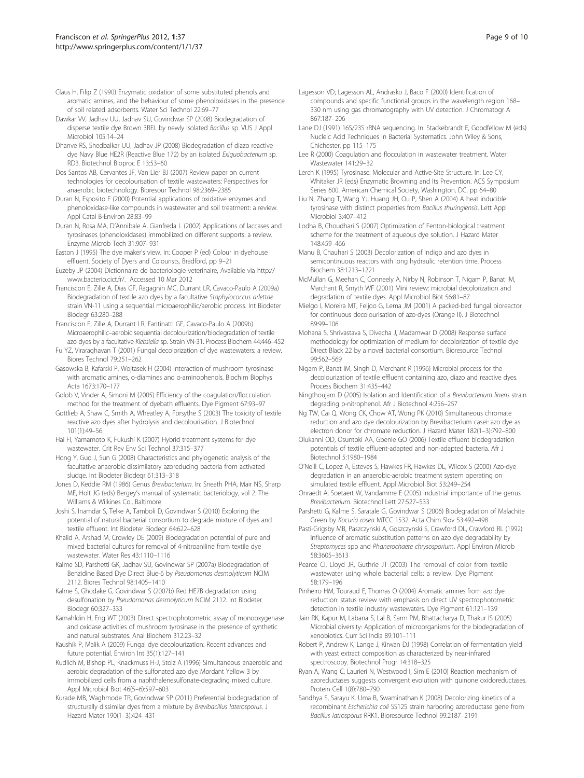- <span id="page-8-0"></span>Claus H, Filip Z (1990) Enzymatic oxidation of some substituted phenols and aromatic amines, and the behaviour of some phenoloxidases in the presence of soil related adsorbents. Water Sci Technol 22:69–77
- Dawkar VV, Jadhav UU, Jadhav SU, Govindwar SP (2008) Biodegradation of disperse textile dye Brown 3REL by newly isolated Bacillus sp. VUS J Appl Microbiol 105:14–24
- Dhanve RS, Shedbalkar UU, Jadhav JP (2008) Biodegradation of diazo reactive dye Navy Blue HE2R (Reactive Blue 172) by an isolated Exiguobacterium sp. RD3. Biotechnol Bioproc E 13:53–60
- Dos Santos AB, Cervantes JF, Van Lier BJ (2007) Review paper on current technologies for decolourisation of textile wastewaters: Perspectives for anaerobic biotechnology. Bioresour Technol 98:2369–2385
- Duran N, Esposito E (2000) Potential applications of oxidative enzymes and phenoloxidase-like compounds in wastewater and soil treatment: a review. Appl Catal B-Environ 28:83–99
- Duran N, Rosa MA, D'Annibale A, Gianfreda L (2002) Applications of laccases and tyrosinases (phenoloxidases) immobilized on different supports: a review. Enzyme Microb Tech 31:907–931
- Easton J (1995) The dye maker's view. In: Cooper P (ed) Colour in dyehouse effluent. Society of Dyers and Colourists, Bradford, pp 9–21
- Euzeby JP (2004) Dictionnaire de bacteriologie veterinaire, Available via [http://](http://www.bacterio.cict.fr/) [www.bacterio.cict.fr/.](http://www.bacterio.cict.fr/) Accessed 10 Mar 2012
- Franciscon E, Zille A, Dias GF, Ragagnin MC, Durrant LR, Cavaco-Paulo A (2009a) Biodegradation of textile azo dyes by a facultative Staphylococcus arlettae strain VN-11 using a sequential microaerophilic/aerobic process. Int Biodeter Biodegr 63:280–288
- Franciscon E, Zille A, Durrant LR, Fantinatti GF, Cavaco-Paulo A (2009b) Microaerophilic–aerobic sequential decolourization/biodegradation of textile azo dyes by a facultative Klebsiella sp. Strain VN-31. Process Biochem 44:446–452
- Fu YZ, Viraraghavan T (2001) Fungal decolorization of dye wastewaters: a review. Biores Technol 79:251–262
- Gasowska B, Kafarski P, Wojtasek H (2004) Interaction of mushroom tyrosinase with aromatic amines, o-diamines and o-aminophenols. Biochim Biophys Acta 1673:170–177
- Golob V, Vinder A, Simoni M (2005) Efficiency of the coagulation/flocculation method for the treatment of dyebath effluents. Dye Pigment 67:93–97
- Gottlieb A, Shaw C, Smith A, Wheatley A, Forsythe S (2003) The toxicity of textile reactive azo dyes after hydrolysis and decolourisation. J Biotechnol 101(1):49–56
- Hai FI, Yamamoto K, Fukushi K (2007) Hybrid treatment systems for dye wastewater. Crit Rev Env Sci Technol 37:315–377
- Hong Y, Guo J, Sun G (2008) Characteristics and phylogenetic analysis of the facultative anaerobic dissimilatory azoreducing bacteria from activated sludge. Int Biodeter Biodegr 61:313–318
- Jones D, Keddie RM (1986) Genus Brevibacterium. In: Sneath PHA, Mair NS, Sharp ME, Holt JG (eds) Bergey's manual of systematic bacteriology, vol 2. The Williams & Wilkines Co., Baltimore
- Joshi S, Inamdar S, Telke A, Tamboli D, Govindwar S (2010) Exploring the potential of natural bacterial consortium to degrade mixture of dyes and textile effluent. Int Biodeter Biodegr 64:622–628
- Khalid A, Arshad M, Crowley DE (2009) Biodegradation potential of pure and mixed bacterial cultures for removal of 4-nitroaniline from textile dye wastewater. Water Res 43:1110–1116
- Kalme SD, Parshetti GK, Jadhav SU, Govindwar SP (2007a) Biodegradation of Benzidine Based Dye Direct Blue-6 by Pseudomonas desmolyticum NCIM 2112. Biores Technol 98:1405–1410
- Kalme S, Ghodake G, Govindwar S (2007b) Red HE7B degradation using desulfonation by Pseudomonas desmolyticum NCIM 2112. Int Biodeter Biodegr 60:327–333
- Kamahldin H, Eng WT (2003) Direct spectrophotometric assay of monooxygenase and oxidase activities of mushroom tyrosinase in the presence of synthetic and natural substrates. Anal Biochem 312:23–32
- Kaushik P, Malik A (2009) Fungal dye decolourization: Recent advances and future potential. Environ Int 35(1):127–141
- Kudlich M, Bishop PL, Knackmuss H-J, Stolz A (1996) Simultaneous anaerobic and aerobic degradation of the sulfonated azo dye Mordant Yellow 3 by immobilized cells from a naphthalenesulfonate-degrading mixed culture. Appl Microbiol Biot 46(5–6):597–603
- Kurade MB, Waghmode TR, Govindwar SP (2011) Preferential biodegradation of structurally dissimilar dyes from a mixture by Brevibacillus laterosporus. J Hazard Mater 190(1–3):424–431
- Lagesson VD, Lagesson AL, Andrasko J, Baco F (2000) Identification of compounds and specific functional groups in the wavelength region 168– 330 nm using gas chromatography with UV detection. J Chromatogr A 867:187–206
- Lane DJ (1991) 16S/23S rRNA sequencing. In: Stackebrandt E, Goodfellow M (eds) Nucleic Acid Techniques in Bacterial Systematics. John Wiley & Sons, Chichester, pp 115–175
- Lee R (2000) Coagulation and flocculation in wastewater treatment. Water Wastewater 141:29–32
- Lerch K (1995) Tyrosinase: Molecular and Active-Site Structure. In: Lee CY, Whitaker JR (eds) Enzymatic Browning and Its Prevention. ACS Symposium Series 600. American Chemical Society, Washington, DC, pp 64–80
- Liu N, Zhang T, Wang YJ, Huang JH, Ou P, Shen A (2004) A heat inducible tyrosinase with distinct properties from Bacillus thuringiensis. Lett Appl Microbiol 3:407–412
- Lodha B, Choudhari S (2007) Optimization of Fenton-biological treatment scheme for the treatment of aqueous dye solution. J Hazard Mater 148:459–466
- Manu B, Chauhari S (2003) Decolorization of indigo and azo dyes in semicontinuous reactors with long hydraulic retention time. Process Biochem 38:1213–1221
- McMullan G, Meehan C, Conneely A, Nirby N, Robinson T, Nigam P, Banat IM, Marchant R, Smyth WF (2001) Mini review: microbial decolorization and degradation of textile dyes. Appl Microbiol Biot 56:81–87
- Mielgo I, Moreira MT, Feijoo G, Lema JM (2001) A packed-bed fungal bioreactor for continuous decolourisation of azo-dyes (Orange II). J Biotechnol 89:99–106
- Mohana S, Shrivastava S, Divecha J, Madamwar D (2008) Response surface methodology for optimization of medium for decolorization of textile dye Direct Black 22 by a novel bacterial consortium. Bioresource Technol 99:562–569
- Nigam P, Banat IM, Singh D, Merchant R (1996) Microbial process for the decolourization of textile effluent containing azo, diazo and reactive dyes. Process Biochem 31:435–442
- Ningthoujam D (2005) Isolation and Identification of a Brevibacterium linens strain degrading p-nitrophenol. Afr J Biotechnol 4:256–257
- Ng TW, Cai Q, Wong CK, Chow AT, Wong PK (2010) Simultaneous chromate reduction and azo dye decolourization by Brevibacterium casei: azo dye as electron donor for chromate reduction. J Hazard Mater 182(1–3):792–800
- Olukanni OD, Osuntoki AA, Gbenle GO (2006) Textile effluent biodegradation potentials of textile effluent-adapted and non-adapted bacteria. Afr J Biotechnol 5:1980–1984
- O'Neill C, Lopez A, Esteves S, Hawkes FR, Hawkes DL, Wilcox S (2000) Azo-dye degradation in an anaerobic-aerobic treatment system operating on simulated textile effluent. Appl Microbiol Biot 53:249–254
- Onraedt A, Soetaert W, Vandamme E (2005) Industrial importance of the genus Brevibacterium. Biotechnol Lett 27:527–533
- Parshetti G, Kalme S, Saratale G, Govindwar S (2006) Biodegradation of Malachite Green by Kocuria rosea MTCC 1532. Acta Chim Slov 53:492–498
- Pasti-Grigsby MB, Paszczynski A, Goszczynski S, Crawford DL, Crawford RL (1992) Influence of aromatic substitution patterns on azo dye degradability by Streptomyces spp and Phanerochaete chrysosporium. Appl Environ Microb 58:3605–3613
- Pearce CI, Lloyd JR, Guthrie JT (2003) The removal of color from textile wastewater using whole bacterial cells: a review. Dye Pigment 58:179–196
- Pinheiro HM, Touraud E, Thomas O (2004) Aromatic amines from azo dye reduction: status review with emphasis on direct UV spectrophotometric detection in textile industry wastewaters. Dye Pigment 61:121–139
- Jain RK, Kapur M, Labana S, Lal B, Sarm PM, Bhattacharya D, Thakur IS (2005) Microbial diversity: Application of microorganisms for the biodegradation of xenobiotics. Curr Sci India 89:101–111
- Robert P, Andrew K, Lange J, Kirwan DJ (1998) Correlation of fermentation yield with yeast extract composition as characterized by near-infrared spectroscopy. Biotechnol Progr 14:318–325
- Ryan A, Wang C, Laurieri N, Westwood I, Sim E (2010) Reaction mechanism of azoreductases suggests convergent evolution with quinone oxidoreductases. Protein Cell 1(8):780–790
- Sandhya S, Sarayu K, Uma B, Swaminathan K (2008) Decolorizing kinetics of a recombinant Escherichia coli SS125 strain harboring azoreductase gene from Bacillus latrosporus RRK1. Bioresource Technol 99:2187–2191